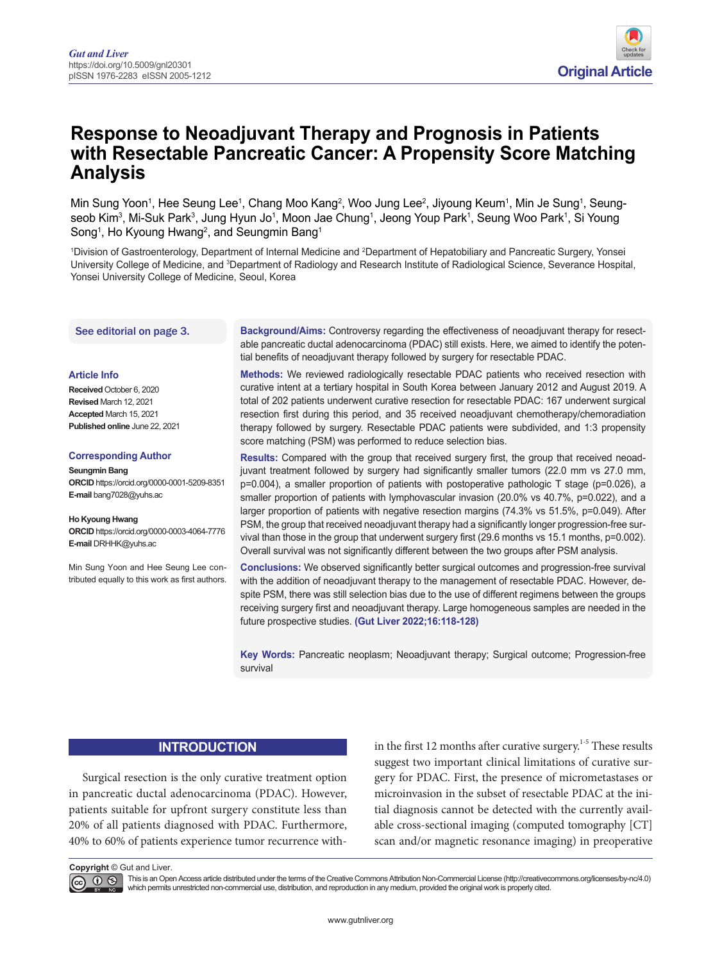

# **Response to Neoadjuvant Therapy and Prognosis in Patients with Resectable Pancreatic Cancer: A Propensity Score Matching Analysis**

Min Sung Yoon1, Hee Seung Lee1, Chang Moo Kang<sup>2</sup>, Woo Jung Lee<sup>2</sup>, Jiyoung Keum<sup>1</sup>, Min Je Sung<sup>1</sup>, Seungseob Kim $^3$ , Mi-Suk Park $^3$ , Jung Hyun Jo $^1$ , Moon Jae Chung $^1$ , Jeong Youp Park $^1$ , Seung Woo Park $^1$ , Si Young Song<sup>1</sup>, Ho Kyoung Hwang<sup>2</sup>, and Seungmin Bang<sup>1</sup>

1 Division of Gastroenterology, Department of Internal Medicine and 2 Department of Hepatobiliary and Pancreatic Surgery, Yonsei University College of Medicine, and <sup>3</sup>Department of Radiology and Research Institute of Radiological Science, Severance Hospital, Yonsei University College of Medicine, Seoul, Korea

#### See editorial on page 3.

#### **Article Info**

**Received** October 6, 2020 **Revised** March 12, 2021 **Accepted** March 15, 2021 **Published online** June 22, 2021

#### **Corresponding Author**

**Seungmin Bang ORCID** https://orcid.org/0000-0001-5209-8351 **E-mail** bang7028@yuhs.ac

**Ho Kyoung Hwang ORCID** https://orcid.org/0000-0003-4064-7776 **E-mail** DRHHK@yuhs.ac

Min Sung Yoon and Hee Seung Lee contributed equally to this work as first authors.

**Background/Aims:** Controversy regarding the effectiveness of neoadjuvant therapy for resectable pancreatic ductal adenocarcinoma (PDAC) still exists. Here, we aimed to identify the potential benefits of neoadjuvant therapy followed by surgery for resectable PDAC.

**Methods:** We reviewed radiologically resectable PDAC patients who received resection with curative intent at a tertiary hospital in South Korea between January 2012 and August 2019. A total of 202 patients underwent curative resection for resectable PDAC: 167 underwent surgical resection first during this period, and 35 received neoadjuvant chemotherapy/chemoradiation therapy followed by surgery. Resectable PDAC patients were subdivided, and 1:3 propensity score matching (PSM) was performed to reduce selection bias.

**Results:** Compared with the group that received surgery first, the group that received neoadjuvant treatment followed by surgery had significantly smaller tumors (22.0 mm vs 27.0 mm, p=0.004), a smaller proportion of patients with postoperative pathologic T stage (p=0.026), a smaller proportion of patients with lymphovascular invasion (20.0% vs 40.7%, p=0.022), and a larger proportion of patients with negative resection margins (74.3% vs 51.5%, p=0.049). After PSM, the group that received neoadjuvant therapy had a significantly longer progression-free survival than those in the group that underwent surgery first (29.6 months vs 15.1 months, p=0.002). Overall survival was not significantly different between the two groups after PSM analysis.

**Conclusions:** We observed significantly better surgical outcomes and progression-free survival with the addition of neoadjuvant therapy to the management of resectable PDAC. However, despite PSM, there was still selection bias due to the use of different regimens between the groups receiving surgery first and neoadjuvant therapy. Large homogeneous samples are needed in the future prospective studies. **(Gut Liver 2022;16:118-128)**

**Key Words:** Pancreatic neoplasm; Neoadjuvant therapy; Surgical outcome; Progression-free survival

## **INTRODUCTION**

Surgical resection is the only curative treatment option in pancreatic ductal adenocarcinoma (PDAC). However, patients suitable for upfront surgery constitute less than 20% of all patients diagnosed with PDAC. Furthermore, 40% to 60% of patients experience tumor recurrence with<span id="page-0-0"></span>in the first 12 months after curative surgery.<sup>1-5</sup> These results suggest two important clinical limitations of curative surgery for PDAC. First, the presence of micrometastases or microinvasion in the subset of resectable PDAC at the initial diagnosis cannot be detected with the currently available cross-sectional imaging (computed tomography [CT] scan and/or magnetic resonance imaging) in preoperative

**Copyright** © Gut and Liver.

This is an Open Access article distributed under the terms of the Creative Commons Attribution Non-Commercial License (http://creativecommons.org/licenses/by-nc/4.0)<br>which permits unrestricted non-commercial use, distribut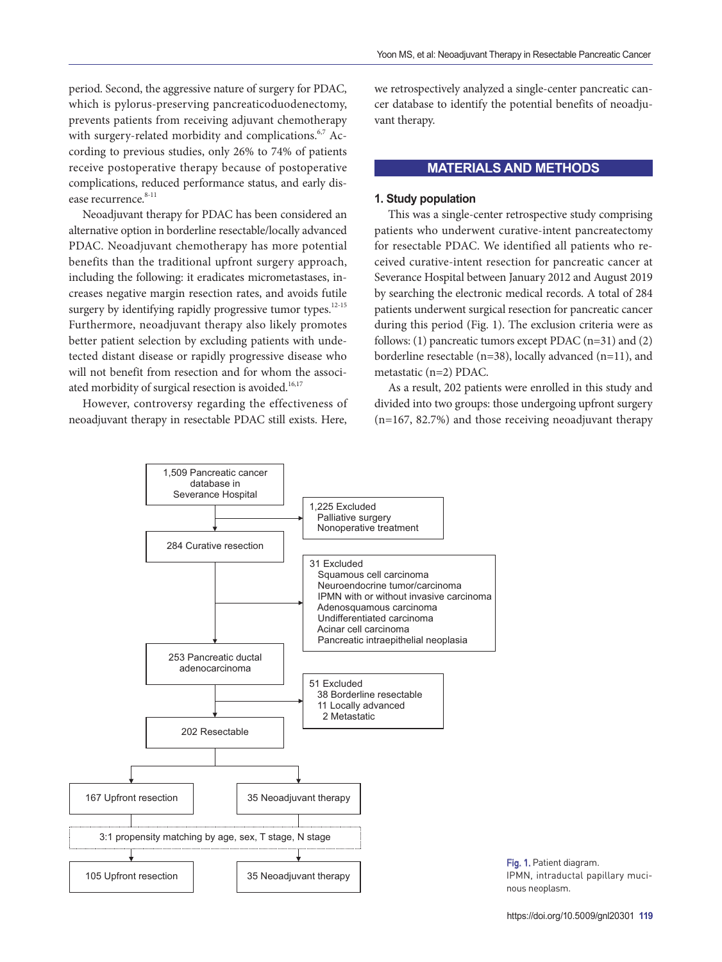<span id="page-1-0"></span>period. Second, the aggressive nature of surgery for PDAC, which is pylorus-preserving pancreaticoduodenectomy, prevents patients from receiving adjuvant chemotherapy with surgery-related morbidity and complications.<sup>[6,](#page-9-1)7</sup> According to previous studies, only 26% to 74% of patients receive postoperative therapy because of postoperative complications, reduced performance status, and early disease recurrence. 8-11

<span id="page-1-3"></span><span id="page-1-2"></span>Neoadjuvant therapy for PDAC has been considered an alternative option in borderline resectable/locally advanced PDAC. Neoadjuvant chemotherapy has more potential benefits than the traditional upfront surgery approach, including the following: it eradicates micrometastases, increases negative margin resection rates, and avoids futile surgery by identifying rapidly progressive tumor types.<sup>12-15</sup> Furthermore, neoadjuvant therapy also likely promotes better patient selection by excluding patients with undetected distant disease or rapidly progressive disease who will not benefit from resection and for whom the associ-ated morbidity of surgical resection is avoided.<sup>[16](#page-10-3)[,17](#page-10-4)</sup>

<span id="page-1-4"></span>However, controversy regarding the effectiveness of neoadjuvant therapy in resectable PDAC still exists. Here, we retrospectively analyzed a single-center pancreatic cancer database to identify the potential benefits of neoadjuvant therapy.

## <span id="page-1-1"></span>**MATERIALS AND METHODS**

## **1. Study population**

This was a single-center retrospective study comprising patients who underwent curative-intent pancreatectomy for resectable PDAC. We identified all patients who received curative-intent resection for pancreatic cancer at Severance Hospital between January 2012 and August 2019 by searching the electronic medical records. A total of 284 patients underwent surgical resection for pancreatic cancer during this period (Fig. 1). The exclusion criteria were as follows: (1) pancreatic tumors except PDAC (n=31) and (2) borderline resectable (n=38), locally advanced (n=11), and metastatic (n=2) PDAC.

<span id="page-1-5"></span>As a result, 202 patients were enrolled in this study and divided into two groups: those undergoing upfront surgery (n=167, 82.7%) and those receiving neoadjuvant therapy



Fig. 1. Patient diagram. IPMN, intraductal papillary mucinous neoplasm.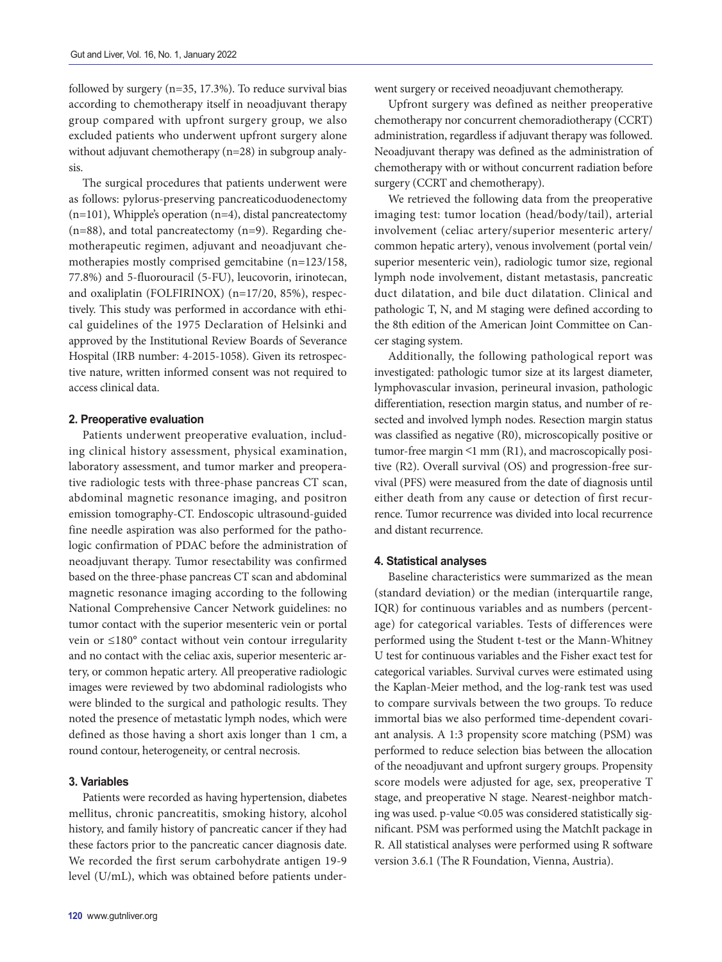followed by surgery (n=35, 17.3%). To reduce survival bias according to chemotherapy itself in neoadjuvant therapy group compared with upfront surgery group, we also excluded patients who underwent upfront surgery alone without adjuvant chemotherapy (n=28) in subgroup analysis.

The surgical procedures that patients underwent were as follows: pylorus-preserving pancreaticoduodenectomy (n=101), Whipple's operation (n=4), distal pancreatectomy (n=88), and total pancreatectomy (n=9). Regarding chemotherapeutic regimen, adjuvant and neoadjuvant chemotherapies mostly comprised gemcitabine (n=123/158, 77.8%) and 5-fluorouracil (5-FU), leucovorin, irinotecan, and oxaliplatin (FOLFIRINOX) (n=17/20, 85%), respectively. This study was performed in accordance with ethical guidelines of the 1975 Declaration of Helsinki and approved by the Institutional Review Boards of Severance Hospital (IRB number: 4-2015-1058). Given its retrospective nature, written informed consent was not required to access clinical data.

#### **2. Preoperative evaluation**

Patients underwent preoperative evaluation, including clinical history assessment, physical examination, laboratory assessment, and tumor marker and preoperative radiologic tests with three-phase pancreas CT scan, abdominal magnetic resonance imaging, and positron emission tomography-CT. Endoscopic ultrasound-guided fine needle aspiration was also performed for the pathologic confirmation of PDAC before the administration of neoadjuvant therapy. Tumor resectability was confirmed based on the three-phase pancreas CT scan and abdominal magnetic resonance imaging according to the following National Comprehensive Cancer Network guidelines: no tumor contact with the superior mesenteric vein or portal vein or ≤180° contact without vein contour irregularity and no contact with the celiac axis, superior mesenteric artery, or common hepatic artery. All preoperative radiologic images were reviewed by two abdominal radiologists who were blinded to the surgical and pathologic results. They noted the presence of metastatic lymph nodes, which were defined as those having a short axis longer than 1 cm, a round contour, heterogeneity, or central necrosis.

## **3. Variables**

Patients were recorded as having hypertension, diabetes mellitus, chronic pancreatitis, smoking history, alcohol history, and family history of pancreatic cancer if they had these factors prior to the pancreatic cancer diagnosis date. We recorded the first serum carbohydrate antigen 19-9 level (U/mL), which was obtained before patients underwent surgery or received neoadjuvant chemotherapy.

Upfront surgery was defined as neither preoperative chemotherapy nor concurrent chemoradiotherapy (CCRT) administration, regardless if adjuvant therapy was followed. Neoadjuvant therapy was defined as the administration of chemotherapy with or without concurrent radiation before surgery (CCRT and chemotherapy).

We retrieved the following data from the preoperative imaging test: tumor location (head/body/tail), arterial involvement (celiac artery/superior mesenteric artery/ common hepatic artery), venous involvement (portal vein/ superior mesenteric vein), radiologic tumor size, regional lymph node involvement, distant metastasis, pancreatic duct dilatation, and bile duct dilatation. Clinical and pathologic T, N, and M staging were defined according to the 8th edition of the American Joint Committee on Cancer staging system.

Additionally, the following pathological report was investigated: pathologic tumor size at its largest diameter, lymphovascular invasion, perineural invasion, pathologic differentiation, resection margin status, and number of resected and involved lymph nodes. Resection margin status was classified as negative (R0), microscopically positive or tumor-free margin <1 mm (R1), and macroscopically positive (R2). Overall survival (OS) and progression-free survival (PFS) were measured from the date of diagnosis until either death from any cause or detection of first recurrence. Tumor recurrence was divided into local recurrence and distant recurrence.

#### **4. Statistical analyses**

Baseline characteristics were summarized as the mean (standard deviation) or the median (interquartile range, IQR) for continuous variables and as numbers (percentage) for categorical variables. Tests of differences were performed using the Student t-test or the Mann-Whitney U test for continuous variables and the Fisher exact test for categorical variables. Survival curves were estimated using the Kaplan-Meier method, and the log-rank test was used to compare survivals between the two groups. To reduce immortal bias we also performed time-dependent covariant analysis. A 1:3 propensity score matching (PSM) was performed to reduce selection bias between the allocation of the neoadjuvant and upfront surgery groups. Propensity score models were adjusted for age, sex, preoperative T stage, and preoperative N stage. Nearest-neighbor matching was used. p-value <0.05 was considered statistically significant. PSM was performed using the MatchIt package in R. All statistical analyses were performed using R software version 3.6.1 (The R Foundation, Vienna, Austria).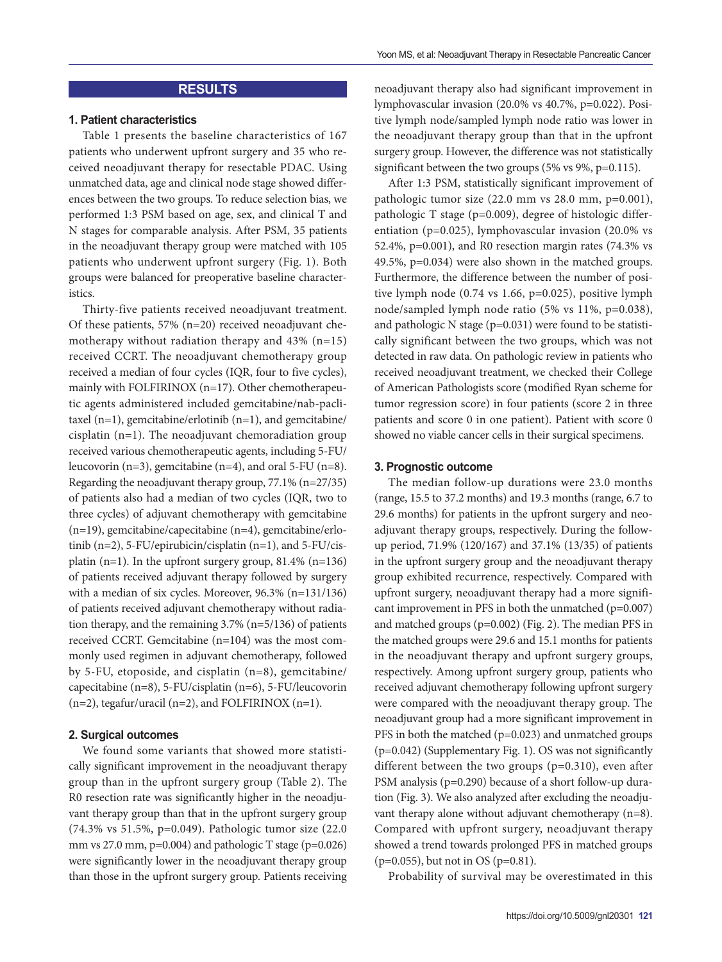## **RESULTS**

#### **1. Patient characteristics**

Table 1 presents the baseline characteristics of 167 patients who underwent upfront surgery and 35 who received neoadjuvant therapy for resectable PDAC. Using unmatched data, age and clinical node stage showed differences between the two groups. To reduce selection bias, we performed 1:3 PSM based on age, sex, and clinical T and N stages for comparable analysis. After PSM, 35 patients in the neoadjuvant therapy group were matched with 105 patients who underwent upfront surgery (Fig. 1). Both groups were balanced for preoperative baseline characteristics.

Thirty-five patients received neoadjuvant treatment. Of these patients, 57% (n=20) received neoadjuvant chemotherapy without radiation therapy and 43% (n=15) received CCRT. The neoadjuvant chemotherapy group received a median of four cycles (IQR, four to five cycles), mainly with FOLFIRINOX (n=17). Other chemotherapeutic agents administered included gemcitabine/nab-paclitaxel (n=1), gemcitabine/erlotinib (n=1), and gemcitabine/ cisplatin (n=1). The neoadjuvant chemoradiation group received various chemotherapeutic agents, including 5-FU/ leucovorin (n=3), gemcitabine (n=4), and oral 5-FU (n=8). Regarding the neoadjuvant therapy group, 77.1% (n=27/35) of patients also had a median of two cycles (IQR, two to three cycles) of adjuvant chemotherapy with gemcitabine (n=19), gemcitabine/capecitabine (n=4), gemcitabine/erlotinib (n=2), 5-FU/epirubicin/cisplatin (n=1), and 5-FU/cisplatin (n=1). In the upfront surgery group,  $81.4\%$  (n=136) of patients received adjuvant therapy followed by surgery with a median of six cycles. Moreover, 96.3% (n=131/136) of patients received adjuvant chemotherapy without radiation therapy, and the remaining 3.7% (n=5/136) of patients received CCRT. Gemcitabine (n=104) was the most commonly used regimen in adjuvant chemotherapy, followed by 5-FU, etoposide, and cisplatin (n=8), gemcitabine/ capecitabine (n=8), 5-FU/cisplatin (n=6), 5-FU/leucovorin (n=2), tegafur/uracil (n=2), and FOLFIRINOX (n=1).

## **2. Surgical outcomes**

We found some variants that showed more statistically significant improvement in the neoadjuvant therapy group than in the upfront surgery group (Table 2). The R0 resection rate was significantly higher in the neoadjuvant therapy group than that in the upfront surgery group (74.3% vs 51.5%, p=0.049). Pathologic tumor size (22.0 mm vs 27.0 mm,  $p=0.004$ ) and pathologic T stage ( $p=0.026$ ) were significantly lower in the neoadjuvant therapy group than those in the upfront surgery group. Patients receiving neoadjuvant therapy also had significant improvement in lymphovascular invasion (20.0% vs 40.7%, p=0.022). Positive lymph node/sampled lymph node ratio was lower in the neoadjuvant therapy group than that in the upfront surgery group. However, the difference was not statistically significant between the two groups (5% vs 9%, p=0.115).

After 1:3 PSM, statistically significant improvement of pathologic tumor size (22.0 mm vs 28.0 mm, p=0.001), pathologic T stage (p=0.009), degree of histologic differentiation (p=0.025), lymphovascular invasion (20.0% vs 52.4%, p=0.001), and R0 resection margin rates (74.3% vs 49.5%, p=0.034) were also shown in the matched groups. Furthermore, the difference between the number of positive lymph node (0.74 vs 1.66, p=0.025), positive lymph node/sampled lymph node ratio (5% vs 11%, p=0.038), and pathologic N stage (p=0.031) were found to be statistically significant between the two groups, which was not detected in raw data. On pathologic review in patients who received neoadjuvant treatment, we checked their College of American Pathologists score (modified Ryan scheme for tumor regression score) in four patients (score 2 in three patients and score 0 in one patient). Patient with score 0 showed no viable cancer cells in their surgical specimens.

#### **3. Prognostic outcome**

The median follow-up durations were 23.0 months (range, 15.5 to 37.2 months) and 19.3 months (range, 6.7 to 29.6 months) for patients in the upfront surgery and neoadjuvant therapy groups, respectively. During the followup period, 71.9% (120/167) and 37.1% (13/35) of patients in the upfront surgery group and the neoadjuvant therapy group exhibited recurrence, respectively. Compared with upfront surgery, neoadjuvant therapy had a more significant improvement in PFS in both the unmatched (p=0.007) and matched groups (p=0.002) (Fig. 2). The median PFS in the matched groups were 29.6 and 15.1 months for patients in the neoadjuvant therapy and upfront surgery groups, respectively. Among upfront surgery group, patients who received adjuvant chemotherapy following upfront surgery were compared with the neoadjuvant therapy group. The neoadjuvant group had a more significant improvement in PFS in both the matched (p=0.023) and unmatched groups (p=0.042) (Supplementary Fig. 1). OS was not significantly different between the two groups (p=0.310), even after PSM analysis (p=0.290) because of a short follow-up duration (Fig. 3). We also analyzed after excluding the neoadjuvant therapy alone without adjuvant chemotherapy (n=8). Compared with upfront surgery, neoadjuvant therapy showed a trend towards prolonged PFS in matched groups (p=0.055), but not in OS (p=0.81).

Probability of survival may be overestimated in this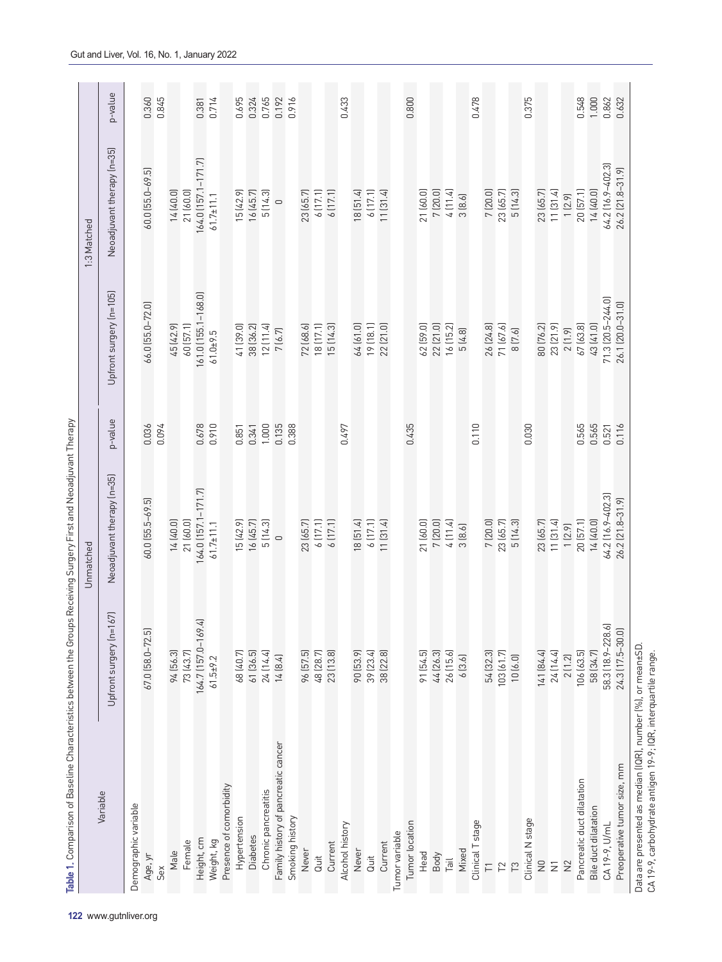| ì<br>Ś<br>l |  |
|-------------|--|
|             |  |
|             |  |
|             |  |
|             |  |
| j           |  |
|             |  |
|             |  |
|             |  |
|             |  |
|             |  |
|             |  |
|             |  |
|             |  |
|             |  |
|             |  |
|             |  |
|             |  |
|             |  |
|             |  |
|             |  |
|             |  |
|             |  |
|             |  |
|             |  |
| l           |  |
|             |  |
|             |  |
|             |  |
| j           |  |
|             |  |
|             |  |
| ¢           |  |
|             |  |
|             |  |
|             |  |
|             |  |
|             |  |
|             |  |
|             |  |
|             |  |
| l           |  |
|             |  |
|             |  |
|             |  |
|             |  |
|             |  |
|             |  |
|             |  |
| ľ           |  |
|             |  |
|             |  |
| j           |  |
|             |  |
|             |  |
|             |  |
|             |  |
| ı           |  |
|             |  |
|             |  |
|             |  |
|             |  |
|             |  |
|             |  |
|             |  |
|             |  |
|             |  |
|             |  |
| i           |  |
|             |  |
|             |  |
|             |  |
| Ò           |  |
|             |  |
|             |  |
|             |  |
|             |  |
|             |  |
|             |  |
|             |  |
|             |  |
|             |  |
|             |  |
| ı           |  |
|             |  |
|             |  |
|             |  |
|             |  |
|             |  |
|             |  |
|             |  |
| l           |  |
|             |  |
|             |  |
|             |  |
| ł           |  |
| I           |  |
|             |  |
|             |  |
| .<br>ق      |  |

|                                     |                         | Unmatched                        |         |                         | 1:3 Matched                |         |
|-------------------------------------|-------------------------|----------------------------------|---------|-------------------------|----------------------------|---------|
| Variable                            | Upfront surgery (n=167) | Neoadjuvant therapy (n=35)       | p-value | Upfront surgery (n=105) | Neoadjuvant therapy (n=35) | p-value |
| Demographic variable                |                         |                                  |         |                         |                            |         |
| Age, yr                             | 67.0 [58.0-72.5]        | $60.0$ [55.5-69.5]               | 0.036   | 66.0 [55.0-72.0]        | $60.0$ [55.0-69.5]         | 0.360   |
| Sex                                 |                         |                                  | 0.094   |                         |                            | 0.845   |
| Male                                | 94 [56.3]               | 14 (40.0)                        |         | 45 (42.9)               | 14 (40.0)                  |         |
| Female                              | 73 (43.7)               | 21 (60.0)                        |         | 60 [57.1]               | 21 (60.0)                  |         |
| Height, cm                          | 164.7 (157.0-169.4)     | 164.0 (157.1–171.7)<br>61.7±11.1 | 0.678   | 161.0 (155.1-168.0)     | 164.0 (157.1-171.7)        | 0.381   |
| Weight, kg                          | $61.5 + 9.2$            |                                  | 0.910   | $61.0 + 9.5$            | $61.7 \pm 11.1$            | 0.714   |
| Presence of comorbidity             |                         |                                  |         |                         |                            |         |
| Hypertension                        | 68 (40.7)               | 15(42.9)                         | 0.851   | 41 [39.0]               | 15 (42.9)                  | 0.695   |
| <b>Diabetes</b>                     | 61 [36.5]               | 16(45.7)                         | 0.341   | 38 [36.2]               | 16 (45.7)                  | 0.324   |
| Chronic pancreatitis                | 24 (14.4)               | 5(14.3)                          | 1.000   | 12[11.4]                | 5(14.3)                    | 0.765   |
| Family history of pancreatic cancer | 14(8.4)                 | $\circ$                          | 0.135   | 7(6.7)                  | $\qquad \qquad \circ$      | 0.192   |
| Smoking history                     |                         |                                  | 0.388   |                         |                            | 0.916   |
| Never                               | 96 [57.5]               | 23 (65.7)                        |         | 72 (68.6)               | 23 (65.7)                  |         |
| Quit                                | 48 (28.7)               | 6[17.1]                          |         | 18[17.1]                | 6[17.1]                    |         |
| Current                             | 23 (13.8)               | 6[17.1]                          |         | 15 (14.3)               | 6(17.1)                    |         |
| Alcohol history                     |                         |                                  | 0.497   |                         |                            | 0.433   |
| Never                               | 90 [53.9]               | 18[51.4]                         |         | 64 (61.0)               | 18 [51.4]                  |         |
| <b>Guit</b>                         | 39 [23.4]               | 6(17.1)                          |         | 19 (18.1)               | 6(17.1)                    |         |
| Current                             | 38 (22.8)               | 11 [31.4]                        |         | 22 (21.0)               | 11 [31.4]                  |         |
| Tumor variable                      |                         |                                  |         |                         |                            |         |
| Tumor location                      |                         |                                  | 0.435   |                         |                            | 0.800   |
| Head                                | 91 [54.5]               | 21 (60.0)                        |         | 62 [59.0]               | 21 (60.0)                  |         |
| Body                                | 44 (26.3)               | 7(20.0)                          |         | 22 (21.0)               | 7 (20.0)                   |         |
| Tail                                | 26 (15.6)               | 4(11.4)                          |         | 16(15.2)                | 4[11.4]                    |         |
| Mixed                               | 6[3.6]                  | 3(8.6)                           |         | 5(4.8)                  | 3(8.6)                     |         |
| Clinical T stage                    |                         |                                  | 0.110   |                         |                            | 0.478   |
| $\overline{\Gamma}$                 | 54 (32.3)               | 7(20.0)                          |         | 26 (24.8)               | 7(20.0)                    |         |
| 12                                  | 103(61.7)               | 23 (65.7)                        |         | 71 (67.6)               | 23 (65.7)                  |         |
| $\tilde{\Gamma}$                    | 10(6.0)                 | 5 (14.3)                         |         | 8 [7.6]                 | 5(14.3)                    |         |
| Clinical N stage                    |                         |                                  | 0.030   |                         |                            | 0.375   |
| $\bar{z}$                           | 141 (84.4)              | 23 (65.7)                        |         | 80 (76.2)               | 23 (65.7)                  |         |
| $\overline{z}$                      | 24 (14.4)               | 11 [31.4]                        |         | 23 (21.9)               | 11 [31.4]                  |         |
| $\geq$                              | 2(1.2)                  | 1(2.9)                           |         | 2(1.9)                  | 1(2.9)                     |         |
| Pancreatic duct dilatation          | 106 (63.5)              | 20 [57.1]                        | 0.565   | 67 (63.8)               | 20(57.1)                   | 0.548   |
| Bile duct dilatation                | 58 (34.7)               | 14 (40.0)                        | 0.565   | 43 (41.0)               | 14 (40.0)                  | 1.000   |
| CA 19-9, U/mL                       | 58.3 (18.9-228.6)       | 64.2 [16.9-402.3]                | 0.521   | 71.3 (20.5-244.0)       | 64.2 (16.9-402.3)          | 0.862   |
| Preoperative tumor size, mm         | 24.3 (17.5-30.0)        | 26.2 [21.8-31.9]                 | 0.116   | 26.1 (20.0-31.0)        | 26.2 [21.8-31.9]           | 0.632   |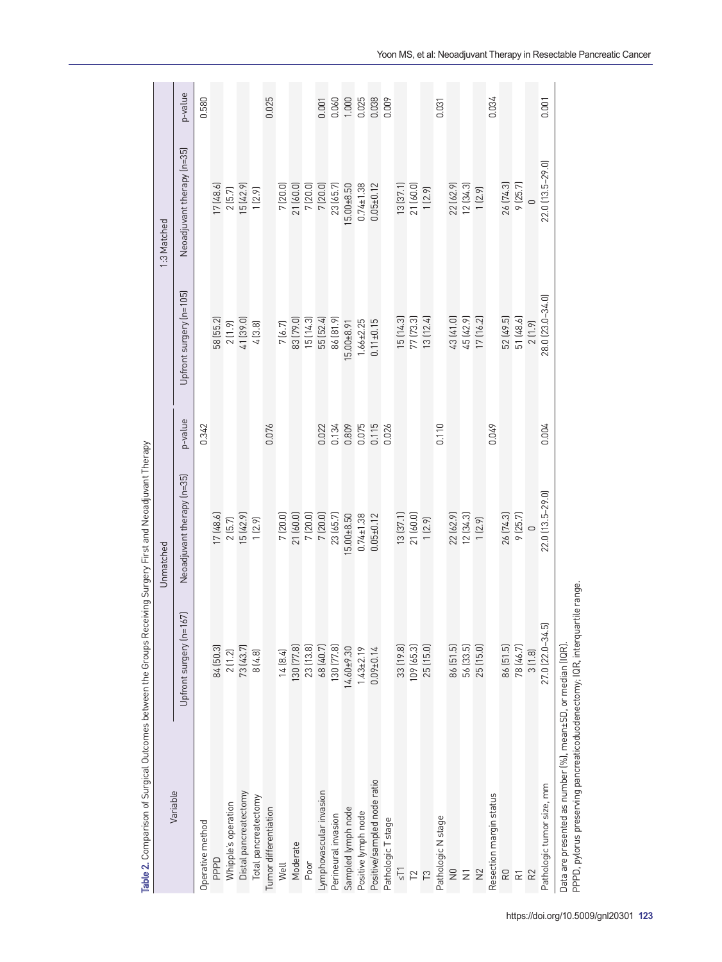| Variable                                                                                                                                   |                         | Unmatched                  |                         |                         | 1:3 Matched                |                                                     |
|--------------------------------------------------------------------------------------------------------------------------------------------|-------------------------|----------------------------|-------------------------|-------------------------|----------------------------|-----------------------------------------------------|
|                                                                                                                                            | Upfront surgery (n=167) | Neoadjuvant therapy (n=35) | p-value                 | Upfront surgery (n=105) | Neoadjuvant therapy (n=35) | p-value                                             |
| Operative method                                                                                                                           |                         |                            | 0.342                   |                         |                            | 0.580                                               |
| PPPD                                                                                                                                       | 84 [50.3]               | 17(48.6)                   |                         | 58 (55.2)               | 17(48.6)                   |                                                     |
| Whipple's operation                                                                                                                        | 2(1.2)                  | $2$ $[5.7]$                |                         | 2(1.9)                  | 2(5.7)                     |                                                     |
| Distal pancreatectomy                                                                                                                      | 73 (43.7)               | 15 (42.9)                  |                         | 41 [39.0]               | 15 (42.9)                  |                                                     |
| Total pancreatectomy                                                                                                                       | 8(4.8)                  | 1(2.9)                     |                         | 4(3.8)                  | 1(2.9)                     |                                                     |
| Tumor differentiation                                                                                                                      |                         |                            | 0.076                   |                         |                            | 0.025                                               |
| Well                                                                                                                                       | 14 [8.4]                | 7 (20.0)                   |                         | 7(6.7)                  |                            |                                                     |
| Moderate                                                                                                                                   | 130 [77.8]              | 21 (60.0)                  |                         | 83 [79.0]               | 7 (20.0)<br>21 (60.0)      |                                                     |
| Poor                                                                                                                                       |                         | 7(20.0)                    |                         | 15 (14.3)               | 7(20.0)                    |                                                     |
| Lymphovascular invasion                                                                                                                    | 23 (13.8)<br>68 (40.7)  | 7(20.0)                    | 0.022                   | 55 [52.4]               | $7\, [20.0]$               |                                                     |
| Perineural invasion                                                                                                                        | 130 [77.8]              | 23 (65.7)                  | 0.134                   | 86 [81.9]               | 23 (65.7)                  |                                                     |
| Sampled lymph node                                                                                                                         | $14.60 + 9.30$          | $5.00 + 8.50$              | 0.809                   | $5.00 + 8.91$           | $5.00 + 8.50$              |                                                     |
| Positive lymph node                                                                                                                        | $1.43 + 2.19$           | $0.74 \pm 1.38$            |                         | $1.66 + 2.25$           | $0.74 \pm 1.38$            |                                                     |
| Positive/sampled node ratio                                                                                                                | $0.09 + 0.14$           | $0.05 + 0.12$              | 0.075<br>0.115<br>0.026 | $0.11 + 0.15$           | $0.05 + 0.12$              | $0.060$<br>$0.060$<br>$0.025$<br>$0.038$<br>$0.009$ |
| Pathologic T stage                                                                                                                         |                         |                            |                         |                         |                            |                                                     |
| $\frac{1}{2}$                                                                                                                              | 33 (19.8)               | 13[37.1]                   |                         | 15 (14.3)               | 13[37.1]                   |                                                     |
| T <sup>2</sup>                                                                                                                             | 109 (65.3)              | 21 (60.0)                  |                         | 77 [73.3]               | 21 (60.0)                  |                                                     |
| $\tilde{\Gamma}$                                                                                                                           | 25 (15.0)               | 1(2.9)                     |                         | 13 (12.4)               | 1(2.9)                     |                                                     |
| Pathologic N stage                                                                                                                         |                         |                            | 0.110                   |                         |                            | 0.031                                               |
| $\overline{z}$                                                                                                                             | 86 [51.5]               | 22 (62.9)                  |                         | 43 (41.0)               | 22 (62.9)                  |                                                     |
| $\bar{z}$                                                                                                                                  | 56 [33.5]               | 12[34.3]                   |                         | 45 (42.9)               | 12 [34.3]                  |                                                     |
| $\approx$                                                                                                                                  | 25(15.0)                | 1(2.9)                     |                         | 17 (16.2)               | 1(2.9)                     |                                                     |
| Resection margin status                                                                                                                    |                         |                            | 0.049                   |                         |                            | 0.034                                               |
| RO                                                                                                                                         | 86 [51.5]               | 26 [74.3]                  |                         | 52 (49.5)               | 26 (74.3)                  |                                                     |
| 균                                                                                                                                          | 78 (46.7)               | 9(25.7)                    |                         | 51 (48.6)               | 9(25.7)                    |                                                     |
| R <sub>2</sub>                                                                                                                             | 3(1.8)                  |                            |                         | 2(1.9)                  |                            |                                                     |
| Pathologic tumor size, mm                                                                                                                  | 27.0 (22.0-34.5)        | 22.0 (13.5-29.0)           | 0.004                   | 28.0 [23.0-34.0]        | 22.0 [13.5-29.0]           | 0.001                                               |
| PPPD, pylorus preserving pancreaticoduodenectomy; IQR, interquartile range.<br>Data are presented as number (%), mean±SD, or median (IQR). |                         |                            |                         |                         |                            |                                                     |

Table 2. Comparison of Surgical Outcomes between the Groups Receiving Surgery First and Neoadjuvant Therapy Table 2. Comparison of Surgical Outcomes between the Groups Receiving Surgery First and Neoadjuvant Therapy Yoon MS, et al: Neoadjuvant Therapy in Resectable Pancreatic Cancer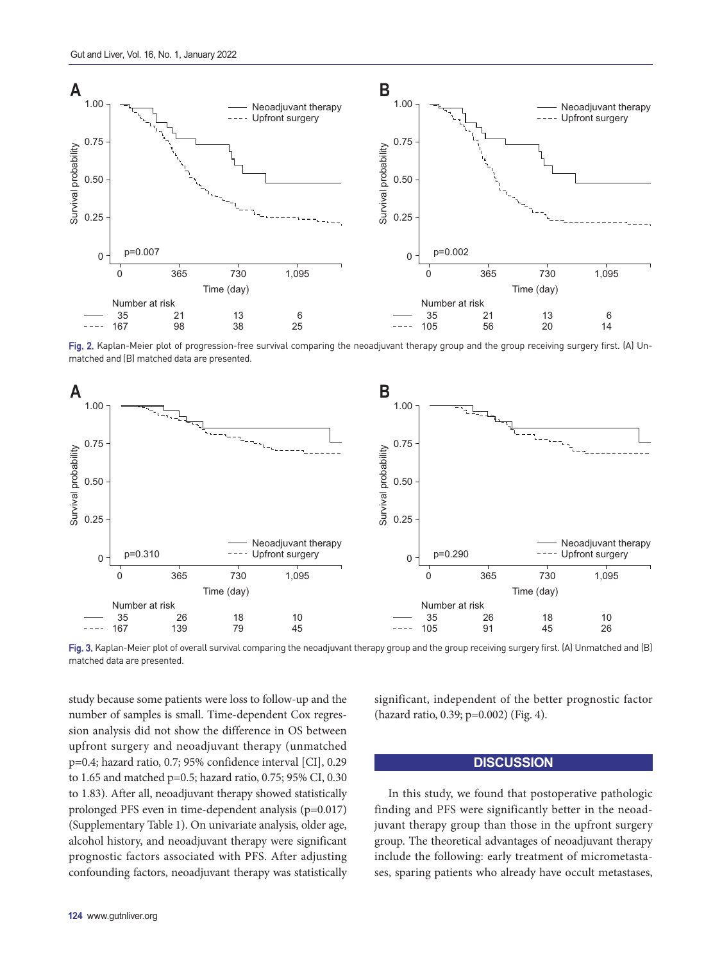

Fig. 2. Kaplan-Meier plot of progression-free survival comparing the neoadjuvant therapy group and the group receiving surgery first. (A) Unmatched and (B) matched data are presented.



Fig. 3. Kaplan-Meier plot of overall survival comparing the neoadjuvant therapy group and the group receiving surgery first. (A) Unmatched and (B) matched data are presented.

study because some patients were loss to follow-up and the number of samples is small. Time-dependent Cox regression analysis did not show the difference in OS between upfront surgery and neoadjuvant therapy (unmatched p=0.4; hazard ratio, 0.7; 95% confidence interval [CI], 0.29 to 1.65 and matched p=0.5; hazard ratio, 0.75; 95% CI, 0.30 to 1.83). After all, neoadjuvant therapy showed statistically prolonged PFS even in time-dependent analysis (p=0.017) (Supplementary Table 1). On univariate analysis, older age, alcohol history, and neoadjuvant therapy were significant prognostic factors associated with PFS. After adjusting confounding factors, neoadjuvant therapy was statistically significant, independent of the better prognostic factor (hazard ratio, 0.39; p=0.002) (Fig. 4).

## **DISCUSSION**

In this study, we found that postoperative pathologic finding and PFS were significantly better in the neoadjuvant therapy group than those in the upfront surgery group. The theoretical advantages of neoadjuvant therapy include the following: early treatment of micrometastases, sparing patients who already have occult metastases,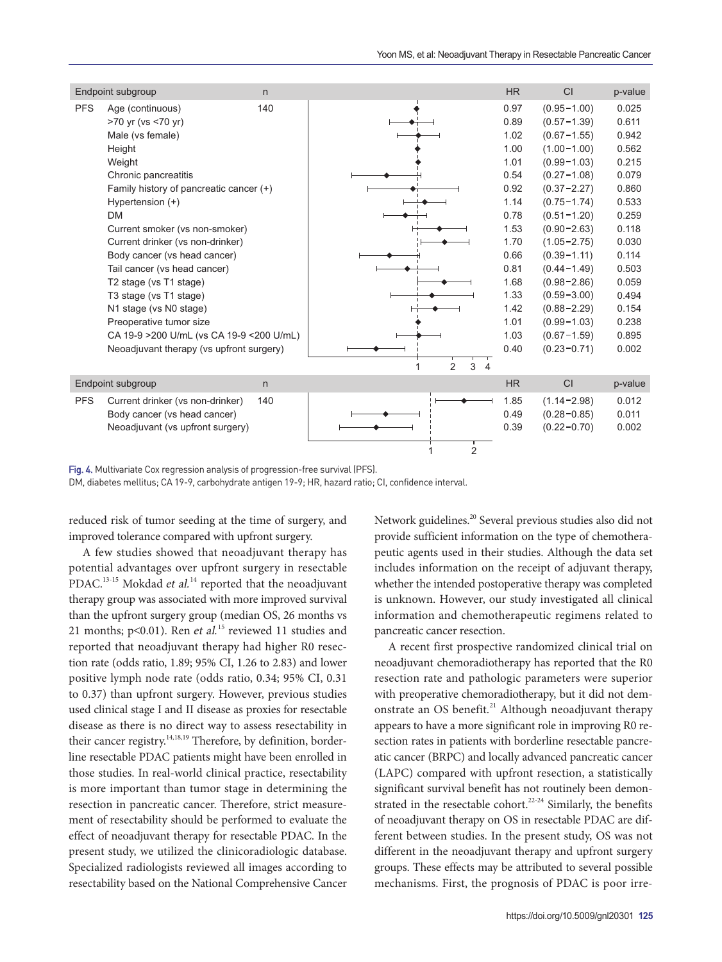|            | Endpoint subgroup                                                                                                                                                                                                                                                                                                                                                                                                                                                                                                                                   | n   |                                       | <b>HR</b>                                                                                                                                            | CI                                                                                                                                                                                                                                                                                                                                                                    | p-value                                                                                                                                                                 |
|------------|-----------------------------------------------------------------------------------------------------------------------------------------------------------------------------------------------------------------------------------------------------------------------------------------------------------------------------------------------------------------------------------------------------------------------------------------------------------------------------------------------------------------------------------------------------|-----|---------------------------------------|------------------------------------------------------------------------------------------------------------------------------------------------------|-----------------------------------------------------------------------------------------------------------------------------------------------------------------------------------------------------------------------------------------------------------------------------------------------------------------------------------------------------------------------|-------------------------------------------------------------------------------------------------------------------------------------------------------------------------|
| <b>PFS</b> | Age (continuous)<br>>70 yr (vs <70 yr)<br>Male (vs female)<br>Height<br>Weight<br>Chronic pancreatitis<br>Family history of pancreatic cancer (+)<br>Hypertension (+)<br><b>DM</b><br>Current smoker (vs non-smoker)<br>Current drinker (vs non-drinker)<br>Body cancer (vs head cancer)<br>Tail cancer (vs head cancer)<br>T <sub>2</sub> stage (vs T <sub>1</sub> stage)<br>T3 stage (vs T1 stage)<br>N1 stage (vs N0 stage)<br>Preoperative tumor size<br>CA 19-9 > 200 U/mL (vs CA 19-9 < 200 U/mL)<br>Neoadjuvant therapy (vs upfront surgery) | 140 | $\mathfrak{p}$<br>3<br>$\overline{4}$ | 0.97<br>0.89<br>1.02<br>1.00<br>1.01<br>0.54<br>0.92<br>1.14<br>0.78<br>1.53<br>1.70<br>0.66<br>0.81<br>1.68<br>1.33<br>1.42<br>1.01<br>1.03<br>0.40 | $(0.95 - 1.00)$<br>$(0.57 - 1.39)$<br>$(0.67 - 1.55)$<br>$(1.00 - 1.00)$<br>$(0.99 - 1.03)$<br>$(0.27 - 1.08)$<br>$(0.37 - 2.27)$<br>$(0.75 - 1.74)$<br>$(0.51 - 1.20)$<br>$(0.90 - 2.63)$<br>$(1.05 - 2.75)$<br>$(0.39 - 1.11)$<br>$(0.44 - 1.49)$<br>$(0.98 - 2.86)$<br>$(0.59 - 3.00)$<br>$(0.88 - 2.29)$<br>$(0.99 - 1.03)$<br>$(0.67 - 1.59)$<br>$(0.23 - 0.71)$ | 0.025<br>0.611<br>0.942<br>0.562<br>0.215<br>0.079<br>0.860<br>0.533<br>0.259<br>0.118<br>0.030<br>0.114<br>0.503<br>0.059<br>0.494<br>0.154<br>0.238<br>0.895<br>0.002 |
|            | Endpoint subgroup                                                                                                                                                                                                                                                                                                                                                                                                                                                                                                                                   | n   |                                       | <b>HR</b>                                                                                                                                            | CI                                                                                                                                                                                                                                                                                                                                                                    | p-value                                                                                                                                                                 |
| <b>PFS</b> | Current drinker (vs non-drinker)<br>Body cancer (vs head cancer)<br>Neoadjuvant (vs upfront surgery)                                                                                                                                                                                                                                                                                                                                                                                                                                                | 140 | $\overline{2}$                        | 1.85<br>0.49<br>0.39                                                                                                                                 | $(1.14 - 2.98)$<br>$(0.28 - 0.85)$<br>$(0.22 - 0.70)$                                                                                                                                                                                                                                                                                                                 | 0.012<br>0.011<br>0.002                                                                                                                                                 |

Fig. 4. Multivariate Cox regression analysis of progression-free survival (PFS).

DM, diabetes mellitus; CA 19-9, carbohydrate antigen 19-9; HR, hazard ratio; CI, confidence interval.

reduced risk of tumor seeding at the time of surgery, and improved tolerance compared with upfront surgery.

A few studies showed that neoadjuvant therapy has potential advantages over upfront surgery in resectable PDAC.<sup>13-15</sup> Mokdad et al.<sup>[14](#page-10-6)</sup> reported that the neoadjuvant therapy group was associated with more improved survival than the upfront surgery group (median OS, 26 months vs 21 months;  $p<0.01$ ). Ren *et al.*<sup>[15](#page-10-7)</sup> reviewed 11 studies and reported that neoadjuvant therapy had higher R0 resection rate (odds ratio, 1.89; 95% CI, 1.26 to 2.83) and lower positive lymph node rate (odds ratio, 0.34; 95% CI, 0.31 to 0.37) than upfront surgery. However, previous studies used clinical stage I and II disease as proxies for resectable disease as there is no direct way to assess resectability in their cancer registry.<sup>14,[18](#page-10-8),[19](#page-10-9)</sup> Therefore, by definition, borderline resectable PDAC patients might have been enrolled in those studies. In real-world clinical practice, resectability is more important than tumor stage in determining the resection in pancreatic cancer. Therefore, strict measurement of resectability should be performed to evaluate the effect of neoadjuvant therapy for resectable PDAC. In the present study, we utilized the clinicoradiologic database. Specialized radiologists reviewed all images according to resectability based on the National Comprehensive Cancer

<span id="page-7-1"></span>Network guidelines.<sup>[20](#page-10-10)</sup> Several previous studies also did not provide sufficient information on the type of chemotherapeutic agents used in their studies. Although the data set includes information on the receipt of adjuvant therapy, whether the intended postoperative therapy was completed is unknown. However, our study investigated all clinical information and chemotherapeutic regimens related to pancreatic cancer resection.

<span id="page-7-3"></span><span id="page-7-2"></span><span id="page-7-0"></span>A recent first prospective randomized clinical trial on neoadjuvant chemoradiotherapy has reported that the R0 resection rate and pathologic parameters were superior with preoperative chemoradiotherapy, but it did not demonstrate an OS benefit.<sup>21</sup> Although neoadjuvant therapy appears to have a more significant role in improving R0 resection rates in patients with borderline resectable pancreatic cancer (BRPC) and locally advanced pancreatic cancer (LAPC) compared with upfront resection, a statistically significant survival benefit has not routinely been demonstrated in the resectable cohort.<sup>22-24</sup> Similarly, the benefits of neoadjuvant therapy on OS in resectable PDAC are different between studies. In the present study, OS was not different in the neoadjuvant therapy and upfront surgery groups. These effects may be attributed to several possible mechanisms. First, the prognosis of PDAC is poor irre-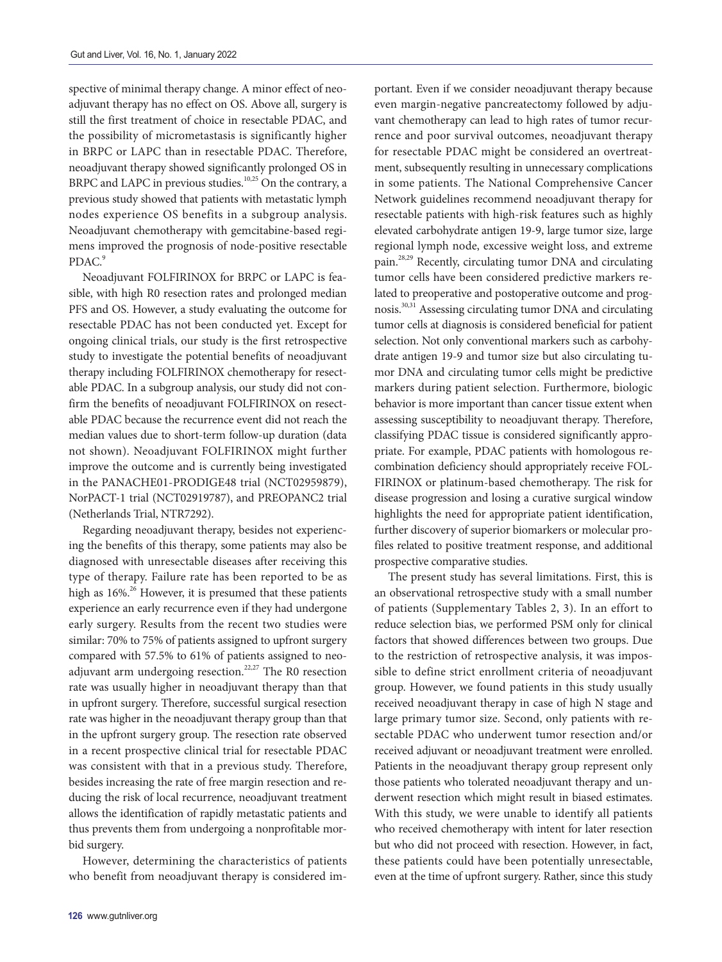spective of minimal therapy change. A minor effect of neoadjuvant therapy has no effect on OS. Above all, surgery is still the first treatment of choice in resectable PDAC, and the possibility of micrometastasis is significantly higher in BRPC or LAPC than in resectable PDAC. Therefore, neoadjuvant therapy showed significantly prolonged OS in BRPC and LAPC in previous studies.<sup>10,[25](#page-10-14)</sup> On the contrary, a previous study showed that patients with metastatic lymph nodes experience OS benefits in a subgroup analysis. Neoadjuvant chemotherapy with gemcitabine-based regimens improved the prognosis of node-positive resectable PDAC.<sup>9</sup>

Neoadjuvant FOLFIRINOX for BRPC or LAPC is feasible, with high R0 resection rates and prolonged median PFS and OS. However, a study evaluating the outcome for resectable PDAC has not been conducted yet. Except for ongoing clinical trials, our study is the first retrospective study to investigate the potential benefits of neoadjuvant therapy including FOLFIRINOX chemotherapy for resectable PDAC. In a subgroup analysis, our study did not confirm the benefits of neoadjuvant FOLFIRINOX on resectable PDAC because the recurrence event did not reach the median values due to short-term follow-up duration (data not shown). Neoadjuvant FOLFIRINOX might further improve the outcome and is currently being investigated in the PANACHE01-PRODIGE48 trial (NCT02959879), NorPACT-1 trial (NCT02919787), and PREOPANC2 trial (Netherlands Trial, NTR7292).

<span id="page-8-1"></span>Regarding neoadjuvant therapy, besides not experiencing the benefits of this therapy, some patients may also be diagnosed with unresectable diseases after receiving this type of therapy. Failure rate has been reported to be as high as  $16\%$ .<sup>26</sup> However, it is presumed that these patients experience an early recurrence even if they had undergone early surgery. Results from the recent two studies were similar: 70% to 75% of patients assigned to upfront surgery compared with 57.5% to 61% of patients assigned to neo-adjuvant arm undergoing resection.<sup>[22](#page-10-12)[,27](#page-10-17)</sup> The R0 resection rate was usually higher in neoadjuvant therapy than that in upfront surgery. Therefore, successful surgical resection rate was higher in the neoadjuvant therapy group than that in the upfront surgery group. The resection rate observed in a recent prospective clinical trial for resectable PDAC was consistent with that in a previous study. Therefore, besides increasing the rate of free margin resection and reducing the risk of local recurrence, neoadjuvant treatment allows the identification of rapidly metastatic patients and thus prevents them from undergoing a nonprofitable morbid surgery.

However, determining the characteristics of patients who benefit from neoadjuvant therapy is considered im-

<span id="page-8-6"></span><span id="page-8-5"></span><span id="page-8-4"></span><span id="page-8-3"></span><span id="page-8-0"></span>portant. Even if we consider neoadjuvant therapy because even margin-negative pancreatectomy followed by adjuvant chemotherapy can lead to high rates of tumor recurrence and poor survival outcomes, neoadjuvant therapy for resectable PDAC might be considered an overtreatment, subsequently resulting in unnecessary complications in some patients. The National Comprehensive Cancer Network guidelines recommend neoadjuvant therapy for resectable patients with high-risk features such as highly elevated carbohydrate antigen 19-9, large tumor size, large regional lymph node, excessive weight loss, and extreme pain.[28](#page-10-18)[,29](#page-10-19) Recently, circulating tumor DNA and circulating tumor cells have been considered predictive markers related to preoperative and postoperative outcome and prognosis[.30,](#page-10-20)[31](#page-10-21) Assessing circulating tumor DNA and circulating tumor cells at diagnosis is considered beneficial for patient selection. Not only conventional markers such as carbohydrate antigen 19-9 and tumor size but also circulating tumor DNA and circulating tumor cells might be predictive markers during patient selection. Furthermore, biologic behavior is more important than cancer tissue extent when assessing susceptibility to neoadjuvant therapy. Therefore, classifying PDAC tissue is considered significantly appropriate. For example, PDAC patients with homologous recombination deficiency should appropriately receive FOL-FIRINOX or platinum-based chemotherapy. The risk for disease progression and losing a curative surgical window highlights the need for appropriate patient identification, further discovery of superior biomarkers or molecular profiles related to positive treatment response, and additional prospective comparative studies.

<span id="page-8-2"></span>The present study has several limitations. First, this is an observational retrospective study with a small number of patients (Supplementary Tables 2, 3). In an effort to reduce selection bias, we performed PSM only for clinical factors that showed differences between two groups. Due to the restriction of retrospective analysis, it was impossible to define strict enrollment criteria of neoadjuvant group. However, we found patients in this study usually received neoadjuvant therapy in case of high N stage and large primary tumor size. Second, only patients with resectable PDAC who underwent tumor resection and/or received adjuvant or neoadjuvant treatment were enrolled. Patients in the neoadjuvant therapy group represent only those patients who tolerated neoadjuvant therapy and underwent resection which might result in biased estimates. With this study, we were unable to identify all patients who received chemotherapy with intent for later resection but who did not proceed with resection. However, in fact, these patients could have been potentially unresectable, even at the time of upfront surgery. Rather, since this study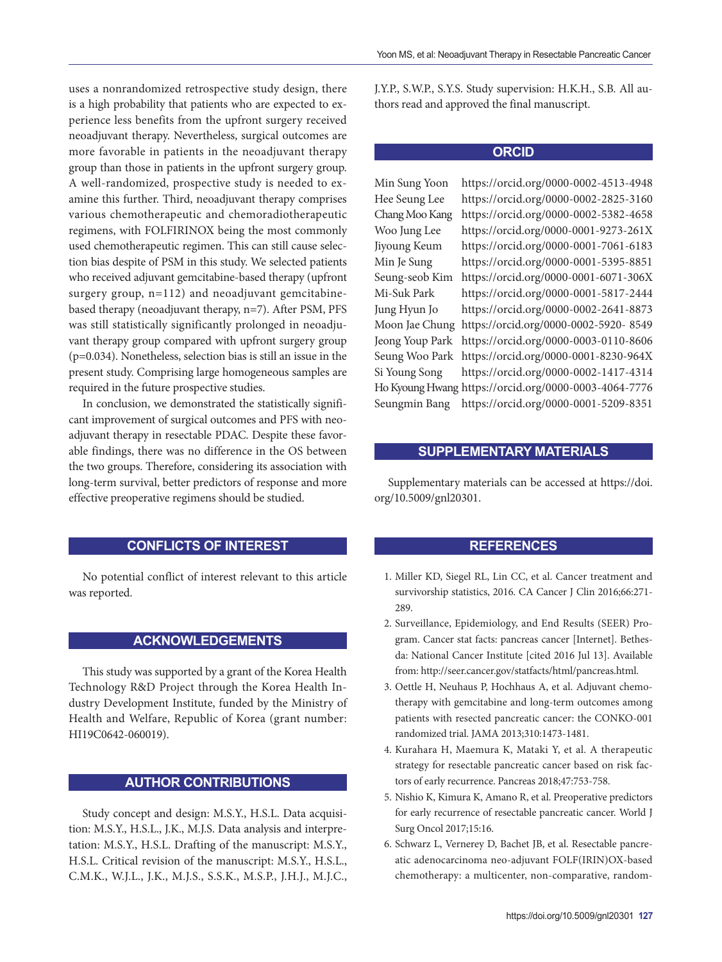uses a nonrandomized retrospective study design, there is a high probability that patients who are expected to experience less benefits from the upfront surgery received neoadjuvant therapy. Nevertheless, surgical outcomes are more favorable in patients in the neoadjuvant therapy group than those in patients in the upfront surgery group. A well-randomized, prospective study is needed to examine this further. Third, neoadjuvant therapy comprises various chemotherapeutic and chemoradiotherapeutic regimens, with FOLFIRINOX being the most commonly used chemotherapeutic regimen. This can still cause selection bias despite of PSM in this study. We selected patients who received adjuvant gemcitabine-based therapy (upfront surgery group, n=112) and neoadjuvant gemcitabinebased therapy (neoadjuvant therapy, n=7). After PSM, PFS was still statistically significantly prolonged in neoadjuvant therapy group compared with upfront surgery group (p=0.034). Nonetheless, selection bias is still an issue in the present study. Comprising large homogeneous samples are required in the future prospective studies.

In conclusion, we demonstrated the statistically significant improvement of surgical outcomes and PFS with neoadjuvant therapy in resectable PDAC. Despite these favorable findings, there was no difference in the OS between the two groups. Therefore, considering its association with long-term survival, better predictors of response and more effective preoperative regimens should be studied.

## **CONFLICTS OF INTEREST**

No potential conflict of interest relevant to this article was reported.

## **ACKNOWLEDGEMENTS**

This study was supported by a grant of the Korea Health Technology R&D Project through the Korea Health Industry Development Institute, funded by the Ministry of Health and Welfare, Republic of Korea (grant number: HI19C0642-060019).

## **AUTHOR CONTRIBUTIONS**

Study concept and design: M.S.Y., H.S.L. Data acquisition: M.S.Y., H.S.L., J.K., M.J.S. Data analysis and interpretation: M.S.Y., H.S.L. Drafting of the manuscript: M.S.Y., H.S.L. Critical revision of the manuscript: M.S.Y., H.S.L., C.M.K., W.J.L., J.K., M.J.S., S.S.K., M.S.P., J.H.J., M.J.C., J.Y.P., S.W.P., S.Y.S. Study supervision: H.K.H., S.B. All authors read and approved the final manuscript.

## **ORCID**

Min Sung Yoon https://orcid.org/0000-0002-4513-4948 Hee Seung Lee https://orcid.org/0000-0002-2825-3160 Chang Moo Kang https://orcid.org/0000-0002-5382-4658 Woo Jung Lee https://orcid.org/0000-0001-9273-261X Jiyoung Keum https://orcid.org/0000-0001-7061-6183 Min Je Sung https://orcid.org/0000-0001-5395-8851 Seung-seob Kim https://orcid.org/0000-0001-6071-306X Mi-Suk Park https://orcid.org/0000-0001-5817-2444 Jung Hyun Jo https://orcid.org/0000-0002-2641-8873 Moon Jae Chung https://orcid.org/0000-0002-5920- 8549 Jeong Youp Park https://orcid.org/0000-0003-0110-8606 Seung Woo Park https://orcid.org/0000-0001-8230-964X Si Young Song https://orcid.org/0000-0002-1417-4314 Ho Kyoung Hwang https://orcid.org/0000-0003-4064-7776 Seungmin Bang https://orcid.org/0000-0001-5209-8351

## **SUPPLEMENTARY MATERIALS**

Supplementary materials can be accessed at https://doi. org/10.5009/gnl20301.

## **REFERENCES**

- <span id="page-9-0"></span>[1.](#page-0-0) Miller KD, Siegel RL, Lin CC, et al. Cancer treatment and survivorship statistics, 2016. CA Cancer J Clin 2016;66:271- 289.
- [2.](#page-0-0) Surveillance, Epidemiology, and End Results (SEER) Program. Cancer stat facts: pancreas cancer [Internet]. Bethesda: National Cancer Institute [cited 2016 Jul 13]. Available from: http://seer.cancer.gov/statfacts/html/pancreas.html.
- [3.](#page-0-0) Oettle H, Neuhaus P, Hochhaus A, et al. Adjuvant chemotherapy with gemcitabine and long-term outcomes among patients with resected pancreatic cancer: the CONKO-001 randomized trial. JAMA 2013;310:1473-1481.
- [4.](#page-0-0) Kurahara H, Maemura K, Mataki Y, et al. A therapeutic strategy for resectable pancreatic cancer based on risk factors of early recurrence. Pancreas 2018;47:753-758.
- [5.](#page-0-0) Nishio K, Kimura K, Amano R, et al. Preoperative predictors for early recurrence of resectable pancreatic cancer. World J Surg Oncol 2017;15:16.
- <span id="page-9-1"></span>[6.](#page-1-0) Schwarz L, Vernerey D, Bachet JB, et al. Resectable pancreatic adenocarcinoma neo-adjuvant FOLF(IRIN)OX-based chemotherapy: a multicenter, non-comparative, random-